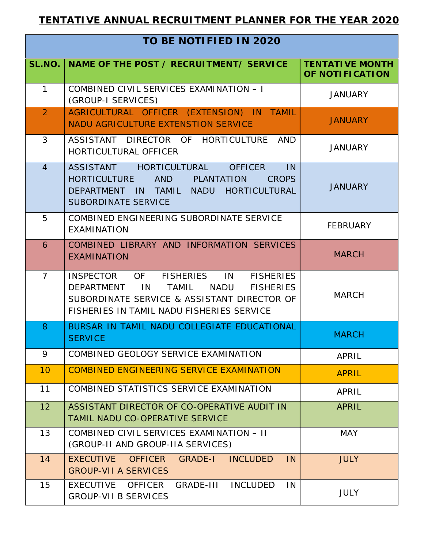| TO BE NOTIFIED IN 2020 |                                                                                                                                                                                                                           |                                           |  |  |
|------------------------|---------------------------------------------------------------------------------------------------------------------------------------------------------------------------------------------------------------------------|-------------------------------------------|--|--|
| SL.NO.                 | NAME OF THE POST / RECRUITMENT/ SERVICE                                                                                                                                                                                   | <b>TENTATIVE MONTH</b><br>OF NOTIFICATION |  |  |
| $\mathbf{1}$           | COMBINED CIVIL SERVICES EXAMINATION - I<br>(GROUP-I SERVICES)                                                                                                                                                             | <b>JANUARY</b>                            |  |  |
| 2 <sup>1</sup>         | AGRICULTURAL OFFICER (EXTENSION) IN TAMIL<br>NADU AGRICULTURE EXTENSTION SERVICE                                                                                                                                          | <b>JANUARY</b>                            |  |  |
| 3                      | ASSISTANT DIRECTOR OF HORTICULTURE<br>AND<br><b>HORTICULTURAL OFFICER</b>                                                                                                                                                 | <b>JANUARY</b>                            |  |  |
| $\overline{4}$         | ASSISTANT HORTICULTURAL<br><b>OFFICER</b><br>IN<br>HORTICULTURE<br>AND<br>PLANTATION<br><b>CROPS</b><br><b>DEPARTMENT</b><br>IN TAMIL NADU HORTICULTURAL<br>SUBORDINATE SERVICE                                           | <b>JANUARY</b>                            |  |  |
| 5                      | COMBINED ENGINEERING SUBORDINATE SERVICE<br><b>EXAMINATION</b>                                                                                                                                                            | <b>FEBRUARY</b>                           |  |  |
| 6                      | COMBINED LIBRARY AND INFORMATION SERVICES<br><b>EXAMINATION</b>                                                                                                                                                           | <b>MARCH</b>                              |  |  |
| $\overline{7}$         | <b>INSPECTOR</b><br>OF<br><b>FISHERIES</b><br>IN<br><b>FISHERIES</b><br>DEPARTMENT<br>IN<br>TAMIL<br>NADU<br><b>FISHERIES</b><br>SUBORDINATE SERVICE & ASSISTANT DIRECTOR OF<br>FISHERIES IN TAMIL NADU FISHERIES SERVICE | <b>MARCH</b>                              |  |  |
| 8                      | BURSAR IN TAMIL NADU COLLEGIATE EDUCATIONAL<br><b>SERVICE</b>                                                                                                                                                             | <b>MARCH</b>                              |  |  |
| 9                      | COMBINED GEOLOGY SERVICE EXAMINATION                                                                                                                                                                                      | APRIL                                     |  |  |
| 10                     | <b>COMBINED ENGINEERING SERVICE EXAMINATION</b>                                                                                                                                                                           | <b>APRIL</b>                              |  |  |
| 11                     | COMBINED STATISTICS SERVICE EXAMINATION                                                                                                                                                                                   | APRIL                                     |  |  |
| 12                     | ASSISTANT DIRECTOR OF CO-OPERATIVE AUDIT IN<br><b>TAMIL NADU CO-OPERATIVE SERVICE</b>                                                                                                                                     | <b>APRIL</b>                              |  |  |
| 13                     | COMBINED CIVIL SERVICES EXAMINATION - II<br>(GROUP-II AND GROUP-IIA SERVICES)                                                                                                                                             | <b>MAY</b>                                |  |  |
| 14                     | <b>EXECUTIVE</b><br><b>OFFICER</b><br><b>GRADE-I</b><br><b>INCLUDED</b><br>IN<br><b>GROUP-VII A SERVICES</b>                                                                                                              | <b>JULY</b>                               |  |  |
| 15                     | GRADE-III<br><b>INCLUDED</b><br>EXECUTIVE OFFICER<br>IN<br><b>GROUP-VII B SERVICES</b>                                                                                                                                    | <b>JULY</b>                               |  |  |